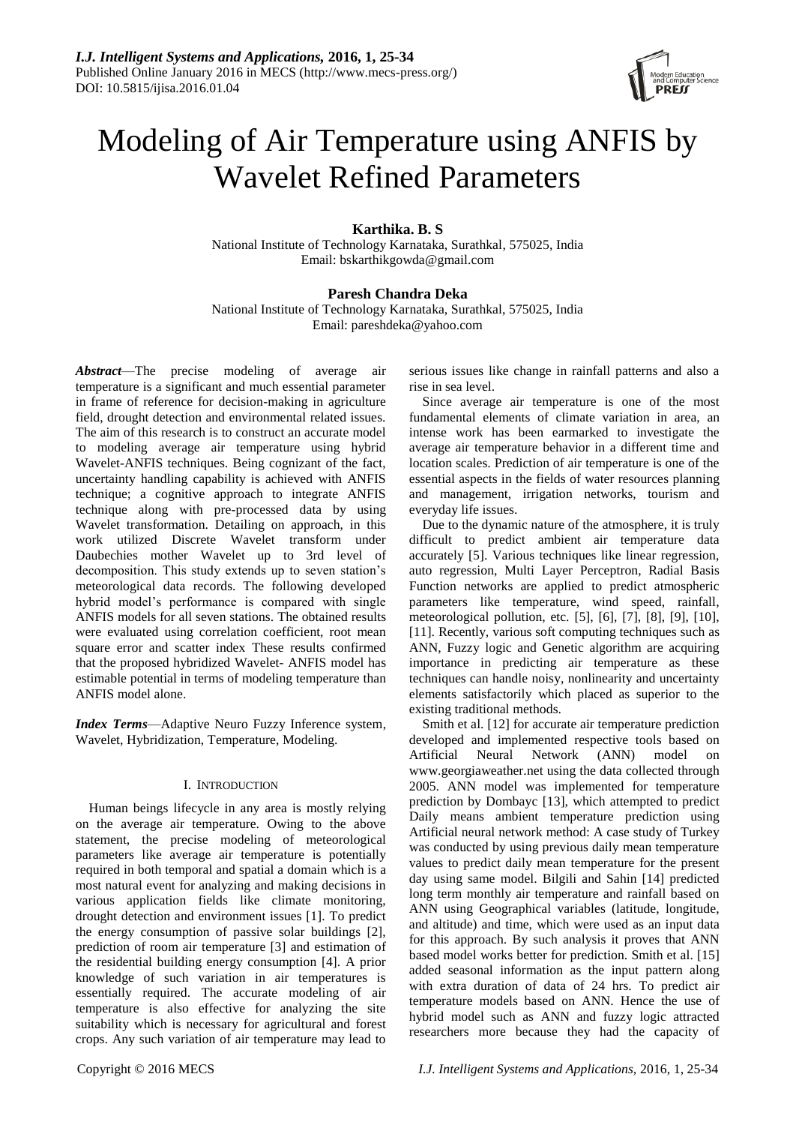

# Modeling of Air Temperature using ANFIS by Wavelet Refined Parameters

## **Karthika. B. S**

National Institute of Technology Karnataka, Surathkal, 575025, India Email: bskarthikgowda@gmail.com

## **Paresh Chandra Deka**

National Institute of Technology Karnataka, Surathkal, 575025, India Email: pareshdeka@yahoo.com

*Abstract*—The precise modeling of average air temperature is a significant and much essential parameter in frame of reference for decision-making in agriculture field, drought detection and environmental related issues. The aim of this research is to construct an accurate model to modeling average air temperature using hybrid Wavelet-ANFIS techniques. Being cognizant of the fact, uncertainty handling capability is achieved with ANFIS technique; a cognitive approach to integrate ANFIS technique along with pre-processed data by using Wavelet transformation. Detailing on approach, in this work utilized Discrete Wavelet transform under Daubechies mother Wavelet up to 3rd level of decomposition. This study extends up to seven station's meteorological data records. The following developed hybrid model's performance is compared with single ANFIS models for all seven stations. The obtained results were evaluated using correlation coefficient, root mean square error and scatter index These results confirmed that the proposed hybridized Wavelet- ANFIS model has estimable potential in terms of modeling temperature than ANFIS model alone.

*Index Terms*—Adaptive Neuro Fuzzy Inference system, Wavelet, Hybridization, Temperature, Modeling.

## I. INTRODUCTION

Human beings lifecycle in any area is mostly relying on the average air temperature. Owing to the above statement, the precise modeling of meteorological parameters like average air temperature is potentially required in both temporal and spatial a domain which is a most natural event for analyzing and making decisions in various application fields like climate monitoring, drought detection and environment issues [1]. To predict the energy consumption of passive solar buildings [2], prediction of room air temperature [3] and estimation of the residential building energy consumption [4]. A prior knowledge of such variation in air temperatures is essentially required. The accurate modeling of air temperature is also effective for analyzing the site suitability which is necessary for agricultural and forest crops. Any such variation of air temperature may lead to

serious issues like change in rainfall patterns and also a rise in sea level.

Since average air temperature is one of the most fundamental elements of climate variation in area, an intense work has been earmarked to investigate the average air temperature behavior in a different time and location scales. Prediction of air temperature is one of the essential aspects in the fields of water resources planning and management, irrigation networks, tourism and everyday life issues.

Due to the dynamic nature of the atmosphere, it is truly difficult to predict ambient air temperature data accurately [5]. Various techniques like linear regression, auto regression, Multi Layer Perceptron, Radial Basis Function networks are applied to predict atmospheric parameters like temperature, wind speed, rainfall, meteorological pollution, etc. [5], [6], [7], [8], [9], [10], [11]. Recently, various soft computing techniques such as ANN, Fuzzy logic and Genetic algorithm are acquiring importance in predicting air temperature as these techniques can handle noisy, nonlinearity and uncertainty elements satisfactorily which placed as superior to the existing traditional methods.

Smith et al. [12] for accurate air temperature prediction developed and implemented respective tools based on Artificial Neural Network (ANN) model on www.georgiaweather.net using the data collected through 2005. ANN model was implemented for temperature prediction by Dombayc [13], which attempted to predict Daily means ambient temperature prediction using Artificial neural network method: A case study of Turkey was conducted by using previous daily mean temperature values to predict daily mean temperature for the present day using same model. Bilgili and Sahin [14] predicted long term monthly air temperature and rainfall based on ANN using Geographical variables (latitude, longitude, and altitude) and time, which were used as an input data for this approach. By such analysis it proves that ANN based model works better for prediction. Smith et al. [15] added seasonal information as the input pattern along with extra duration of data of 24 hrs. To predict air temperature models based on ANN. Hence the use of hybrid model such as ANN and fuzzy logic attracted researchers more because they had the capacity of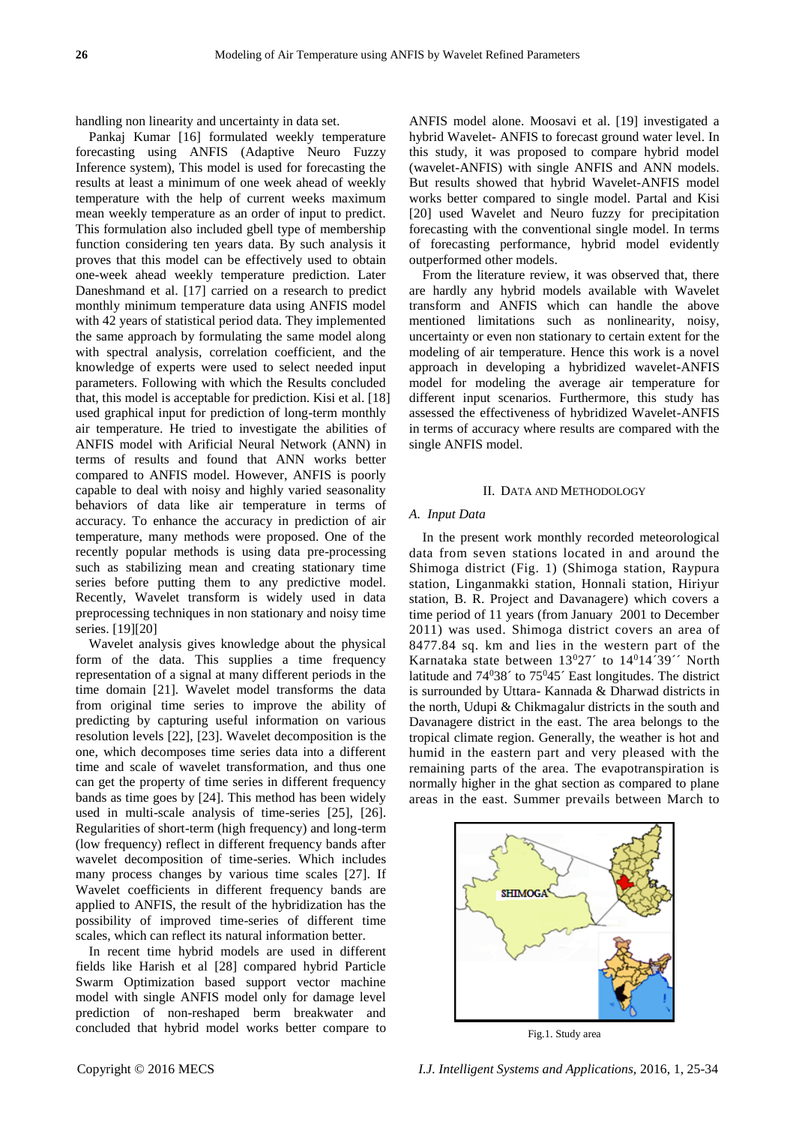handling non linearity and uncertainty in data set.

Pankaj Kumar [16] formulated weekly temperature forecasting using ANFIS (Adaptive Neuro Fuzzy Inference system), This model is used for forecasting the results at least a minimum of one week ahead of weekly temperature with the help of current weeks maximum mean weekly temperature as an order of input to predict. This formulation also included gbell type of membership function considering ten years data. By such analysis it proves that this model can be effectively used to obtain one-week ahead weekly temperature prediction. Later Daneshmand et al. [17] carried on a research to predict monthly minimum temperature data using ANFIS model with 42 years of statistical period data. They implemented the same approach by formulating the same model along with spectral analysis, correlation coefficient, and the knowledge of experts were used to select needed input parameters. Following with which the Results concluded that, this model is acceptable for prediction. Kisi et al. [18] used graphical input for prediction of long-term monthly air temperature. He tried to investigate the abilities of ANFIS model with Arificial Neural Network (ANN) in terms of results and found that ANN works better compared to ANFIS model. However, ANFIS is poorly capable to deal with noisy and highly varied seasonality behaviors of data like air temperature in terms of accuracy. To enhance the accuracy in prediction of air temperature, many methods were proposed. One of the recently popular methods is using data pre-processing such as stabilizing mean and creating stationary time series before putting them to any predictive model. Recently, Wavelet transform is widely used in data preprocessing techniques in non stationary and noisy time series. [19][20]

Wavelet analysis gives knowledge about the physical form of the data. This supplies a time frequency representation of a signal at many different periods in the time domain [21]. Wavelet model transforms the data from original time series to improve the ability of predicting by capturing useful information on various resolution levels [22], [23]. Wavelet decomposition is the one, which decomposes time series data into a different time and scale of wavelet transformation, and thus one can get the property of time series in different frequency bands as time goes by [24]. This method has been widely used in multi-scale analysis of time-series [25], [26]. Regularities of short-term (high frequency) and long-term (low frequency) reflect in different frequency bands after wavelet decomposition of time-series. Which includes many process changes by various time scales [27]. If Wavelet coefficients in different frequency bands are applied to ANFIS, the result of the hybridization has the possibility of improved time-series of different time scales, which can reflect its natural information better.

In recent time hybrid models are used in different fields like Harish et al [28] compared hybrid Particle Swarm Optimization based support vector machine model with single ANFIS model only for damage level prediction of non-reshaped berm breakwater and concluded that hybrid model works better compare to

ANFIS model alone. Moosavi et al. [19] investigated a hybrid Wavelet- ANFIS to forecast ground water level. In this study, it was proposed to compare hybrid model (wavelet-ANFIS) with single ANFIS and ANN models. But results showed that hybrid Wavelet-ANFIS model works better compared to single model. Partal and Kisi [20] used Wavelet and Neuro fuzzy for precipitation forecasting with the conventional single model. In terms of forecasting performance, hybrid model evidently outperformed other models.

From the literature review, it was observed that, there are hardly any hybrid models available with Wavelet transform and ANFIS which can handle the above mentioned limitations such as nonlinearity, noisy, uncertainty or even non stationary to certain extent for the modeling of air temperature. Hence this work is a novel approach in developing a hybridized wavelet-ANFIS model for modeling the average air temperature for different input scenarios. Furthermore, this study has assessed the effectiveness of hybridized Wavelet-ANFIS in terms of accuracy where results are compared with the single ANFIS model.

#### II. DATA AND METHODOLOGY

#### *A. Input Data*

In the present work monthly recorded meteorological data from seven stations located in and around the Shimoga district (Fig. 1) (Shimoga station, Raypura station, Linganmakki station, Honnali station, Hiriyur station, B. R. Project and Davanagere) which covers a time period of 11 years (from January 2001 to December 2011) was used. Shimoga district covers an area of 8477.84 sq. km and lies in the western part of the Karnataka state between  $13^{0}27'$  to  $14^{0}14$  39<sup> $\prime\prime$ </sup> North latitude and  $74^038'$  to  $75^045'$  East longitudes. The district is surrounded by Uttara- Kannada & Dharwad districts in the north, Udupi & Chikmagalur districts in the south and Davanagere district in the east. The area belongs to the tropical climate region. Generally, the weather is hot and humid in the eastern part and very pleased with the remaining parts of the area. The evapotranspiration is normally higher in the ghat section as compared to plane areas in the east. Summer prevails between March to



Fig.1. Study area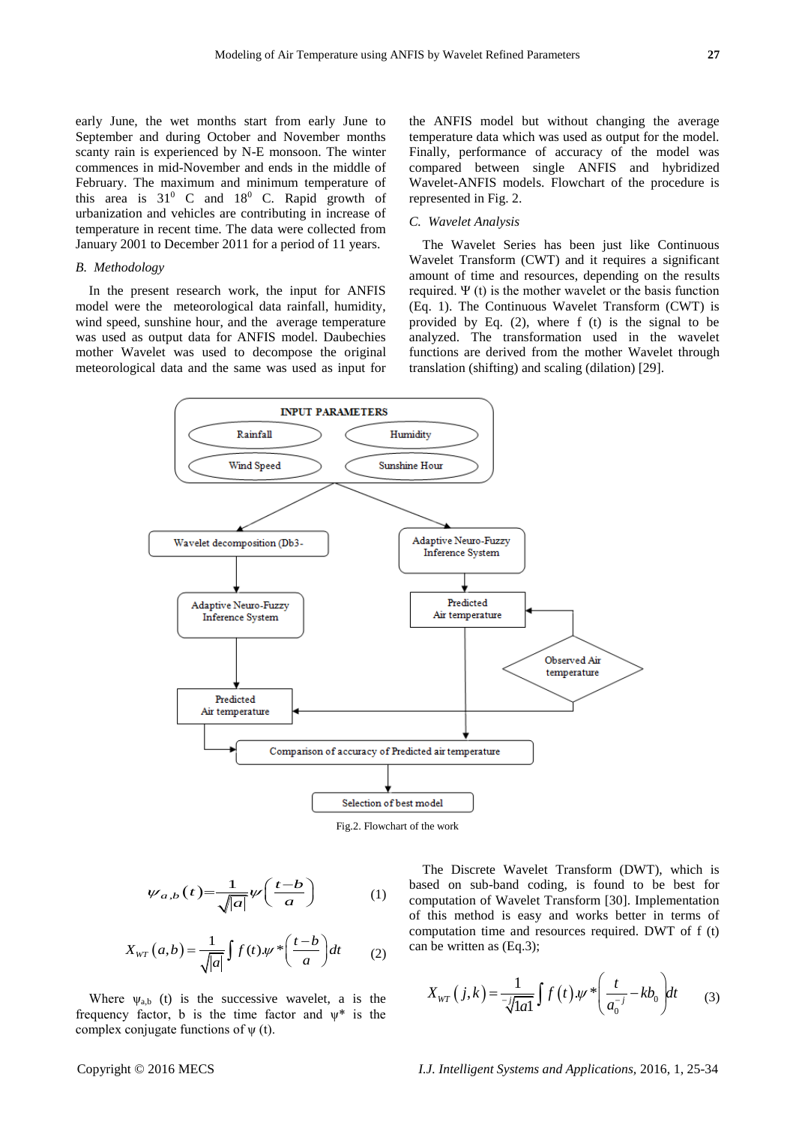early June, the wet months start from early June to September and during October and November months scanty rain is experienced by N-E monsoon. The winter commences in mid-November and ends in the middle of February. The maximum and minimum temperature of this area is  $31^{\circ}$  C and  $18^{\circ}$  C. Rapid growth of urbanization and vehicles are contributing in increase of temperature in recent time. The data were collected from January 2001 to December 2011 for a period of 11 years.

## *B. Methodology*

In the present research work, the input for ANFIS model were the meteorological data rainfall, humidity, wind speed, sunshine hour, and the average temperature was used as output data for ANFIS model. Daubechies mother Wavelet was used to decompose the original meteorological data and the same was used as input for the ANFIS model but without changing the average temperature data which was used as output for the model. Finally, performance of accuracy of the model was compared between single ANFIS and hybridized Wavelet-ANFIS models. Flowchart of the procedure is represented in Fig. 2.

## *C. Wavelet Analysis*

The Wavelet Series has been just like Continuous Wavelet Transform (CWT) and it requires a significant amount of time and resources, depending on the results required. Ψ (t) is the mother wavelet or the basis function (Eq. 1). The Continuous Wavelet Transform (CWT) is provided by Eq. (2), where f (t) is the signal to be analyzed. The transformation used in the wavelet functions are derived from the mother Wavelet through translation (shifting) and scaling (dilation) [29].





$$
\psi_{a,b}(t) = \frac{1}{\sqrt{|a|}} \psi\left(\frac{t-b}{a}\right) \tag{1}
$$

$$
X_{WT}(a,b) = \frac{1}{\sqrt{|a|}} \int f(t) \cdot \psi \cdot \left(\frac{t-b}{a}\right) dt \tag{2}
$$

Where  $\psi_{a,b}$  (t) is the successive wavelet, a is the frequency factor, b is the time factor and  $\psi^*$  is the complex conjugate functions of  $\psi$  (t).

The Discrete Wavelet Transform (DWT), which is based on sub-band coding, is found to be best for computation of Wavelet Transform [30]. Implementation of this method is easy and works better in terms of computation time and resources required. DWT of f (t) can be written as (Eq.3);

$$
X_{WT}\left(j,k\right) = \frac{1}{\sqrt[3]{1a1}} \int f\left(t\right) \psi * \left(\frac{t}{a_0^{-j}} - kb_0\right) dt \tag{3}
$$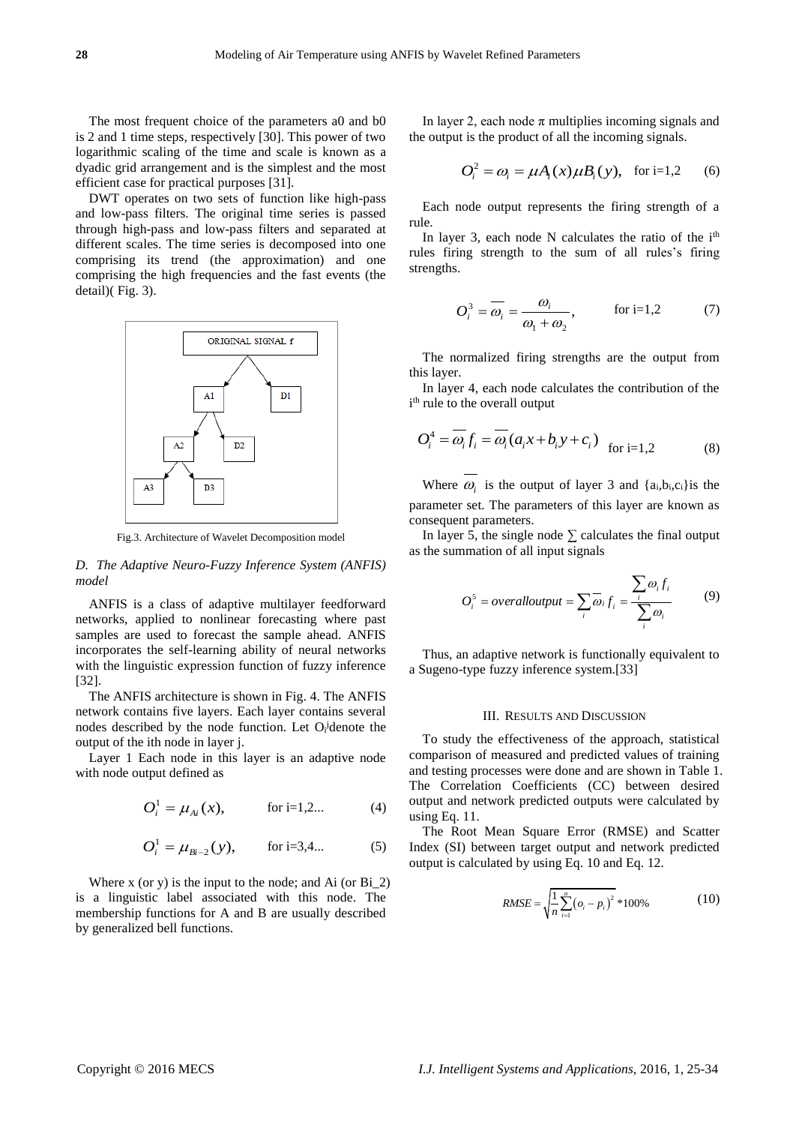The most frequent choice of the parameters a0 and b0 is 2 and 1 time steps, respectively [30]. This power of two logarithmic scaling of the time and scale is known as a dyadic grid arrangement and is the simplest and the most efficient case for practical purposes [31].

DWT operates on two sets of function like high-pass and low-pass filters. The original time series is passed through high-pass and low-pass filters and separated at different scales. The time series is decomposed into one comprising its trend (the approximation) and one comprising the high frequencies and the fast events (the detail)( Fig. 3).



Fig.3. Architecture of Wavelet Decomposition model

## *D. The Adaptive Neuro-Fuzzy Inference System (ANFIS) model*

ANFIS is a class of adaptive multilayer feedforward networks, applied to nonlinear forecasting where past samples are used to forecast the sample ahead. ANFIS incorporates the self-learning ability of neural networks with the linguistic expression function of fuzzy inference [32].

The ANFIS architecture is shown in Fig. 4. The ANFIS network contains five layers. Each layer contains several nodes described by the node function. Let O<sub>i</sub><sup>d</sup>enote the output of the ith node in layer j.

Layer 1 Each node in this layer is an adaptive node with node output defined as

$$
O_i^1 = \mu_{Ai}(x), \qquad \text{for i=1,2...} \tag{4}
$$

$$
O_i^1 = \mu_{Bi-2}(y), \qquad \text{for i=3,4...} \tag{5}
$$

Where  $x$  (or  $y$ ) is the input to the node; and Ai (or  $Bi_2$ ) is a linguistic label associated with this node. The membership functions for A and B are usually described by generalized bell functions.

In layer 2, each node  $\pi$  multiplies incoming signals and the output is the product of all the incoming signals.

$$
O_i^2 = \omega_i = \mu A_i(x) \mu B_i(y), \text{ for i=1,2}
$$
 (6)

Each node output represents the firing strength of a rule.

In layer 3, each node  $N$  calculates the ratio of the  $i<sup>th</sup>$ rules firing strength to the sum of all rules's firing strengths.

$$
O_i^3 = \overline{\omega_i} = \frac{\omega_i}{\omega_1 + \omega_2}, \qquad \text{for i=1,2} \tag{7}
$$

The normalized firing strengths are the output from this layer.

In layer 4, each node calculates the contribution of the i<sup>th</sup> rule to the overall output

$$
O_i^4 = \overline{\omega_i} f_i = \overline{\omega_i} (a_i x + b_i y + c_i) \quad \text{for i=1,2} \tag{8}
$$

Where  $\omega_i$  is the output of layer 3 and  $\{a_i, b_i, c_i\}$  is the parameter set. The parameters of this layer are known as consequent parameters.

In layer 5, the single node  $\Sigma$  calculates the final output as the summation of all input signals

$$
O_i^5 = overalloutput = \sum_i \overline{\omega}_i f_i = \frac{\sum_i \omega_i f_i}{\sum_i \omega_i}
$$
 (9)

Thus, an adaptive network is functionally equivalent to a Sugeno-type fuzzy inference system.[33]

#### III. RESULTS AND DISCUSSION

To study the effectiveness of the approach, statistical comparison of measured and predicted values of training and testing processes were done and are shown in Table 1. The Correlation Coefficients (CC) between desired output and network predicted outputs were calculated by using Eq. 11.

The Root Mean Square Error (RMSE) and Scatter Index (SI) between target output and network predicted output is calculated by using Eq. 10 and Eq. 12.

$$
RMSE = \sqrt{\frac{1}{n} \sum_{i=1}^{n} (o_i - p_i)^2} * 100\%
$$
 (10)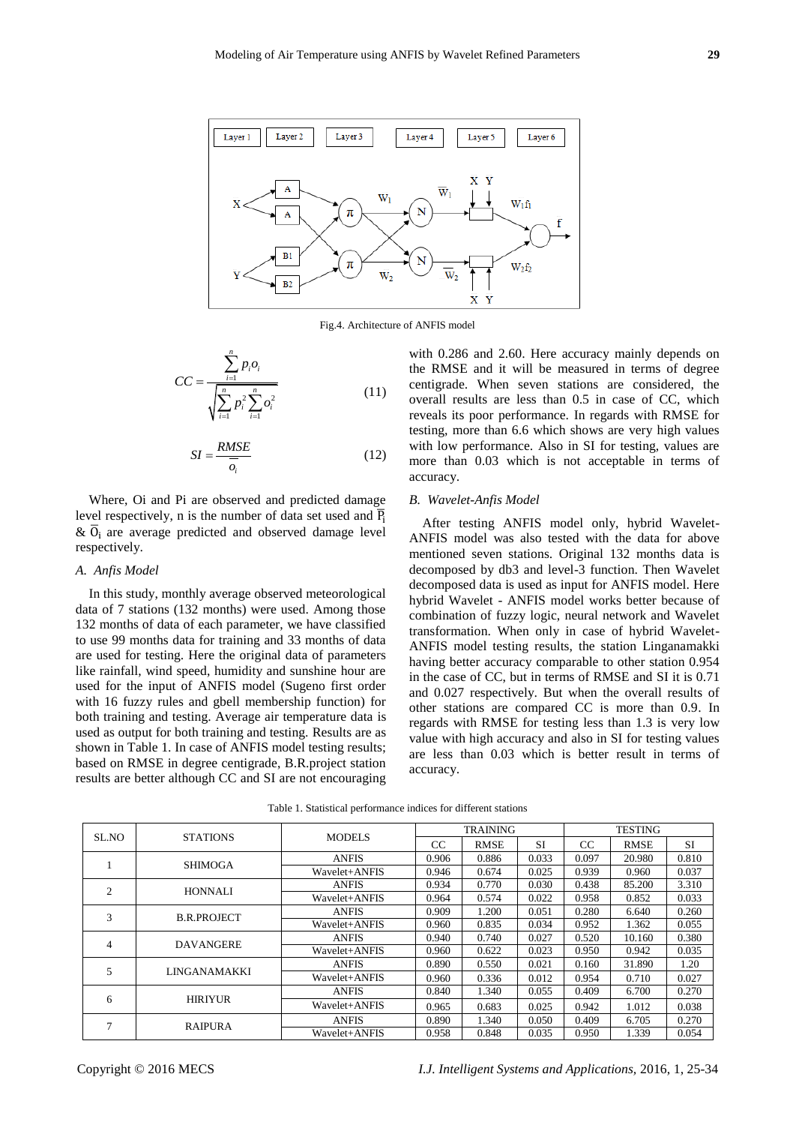

Fig.4. Architecture of ANFIS model

$$
CC = \frac{\sum_{i=1}^{n} p_i o_i}{\sqrt{\sum_{i=1}^{n} p_i^2 \sum_{i=1}^{n} o_i^2}}
$$
(11)

$$
SI = \frac{RMSE}{\overline{o_i}}\tag{12}
$$

Where, Oi and Pi are observed and predicted damage level respectively, n is the number of data set used and  $\overline{P_i}$  $\& \overline{0}_i$  are average predicted and observed damage level respectively.

#### *A. Anfis Model*

In this study, monthly average observed meteorological data of 7 stations (132 months) were used. Among those 132 months of data of each parameter, we have classified to use 99 months data for training and 33 months of data are used for testing. Here the original data of parameters like rainfall, wind speed, humidity and sunshine hour are used for the input of ANFIS model (Sugeno first order with 16 fuzzy rules and gbell membership function) for both training and testing. Average air temperature data is used as output for both training and testing. Results are as shown in Table 1. In case of ANFIS model testing results; based on RMSE in degree centigrade, B.R.project station results are better although CC and SI are not encouraging with 0.286 and 2.60. Here accuracy mainly depends on the RMSE and it will be measured in terms of degree centigrade. When seven stations are considered, the overall results are less than 0.5 in case of CC, which reveals its poor performance. In regards with RMSE for testing, more than 6.6 which shows are very high values with low performance. Also in SI for testing, values are more than 0.03 which is not acceptable in terms of accuracy.

#### *B. Wavelet-Anfis Model*

After testing ANFIS model only, hybrid Wavelet-ANFIS model was also tested with the data for above mentioned seven stations. Original 132 months data is decomposed by db3 and level-3 function. Then Wavelet decomposed data is used as input for ANFIS model. Here hybrid Wavelet - ANFIS model works better because of combination of fuzzy logic, neural network and Wavelet transformation. When only in case of hybrid Wavelet-ANFIS model testing results, the station Linganamakki having better accuracy comparable to other station 0.954 in the case of CC, but in terms of RMSE and SI it is 0.71 and 0.027 respectively. But when the overall results of other stations are compared CC is more than 0.9. In regards with RMSE for testing less than 1.3 is very low value with high accuracy and also in SI for testing values are less than 0.03 which is better result in terms of accuracy.

| SL.NO          | <b>STATIONS</b>    | <b>MODELS</b> | <b>TRAINING</b> |             |       | <b>TESTING</b> |             |           |
|----------------|--------------------|---------------|-----------------|-------------|-------|----------------|-------------|-----------|
|                |                    |               | <sub>CC</sub>   | <b>RMSE</b> | SI    | <sub>CC</sub>  | <b>RMSE</b> | <b>SI</b> |
|                | <b>SHIMOGA</b>     | <b>ANFIS</b>  | 0.906           | 0.886       | 0.033 | 0.097          | 20.980      | 0.810     |
|                |                    | Wavelet+ANFIS | 0.946           | 0.674       | 0.025 | 0.939          | 0.960       | 0.037     |
| $\overline{c}$ | <b>HONNALI</b>     | <b>ANFIS</b>  | 0.934           | 0.770       | 0.030 | 0.438          | 85.200      | 3.310     |
|                |                    | Wavelet+ANFIS | 0.964           | 0.574       | 0.022 | 0.958          | 0.852       | 0.033     |
| 3              | <b>B.R.PROJECT</b> | <b>ANFIS</b>  | 0.909           | 1.200       | 0.051 | 0.280          | 6.640       | 0.260     |
|                |                    | Wavelet+ANFIS | 0.960           | 0.835       | 0.034 | 0.952          | 1.362       | 0.055     |
| 4              | <b>DAVANGERE</b>   | <b>ANFIS</b>  | 0.940           | 0.740       | 0.027 | 0.520          | 10.160      | 0.380     |
|                |                    | Wavelet+ANFIS | 0.960           | 0.622       | 0.023 | 0.950          | 0.942       | 0.035     |
| 5              | LINGANAMAKKI       | <b>ANFIS</b>  | 0.890           | 0.550       | 0.021 | 0.160          | 31.890      | 1.20      |
|                |                    | Wavelet+ANFIS | 0.960           | 0.336       | 0.012 | 0.954          | 0.710       | 0.027     |
| 6              | <b>HIRIYUR</b>     | <b>ANFIS</b>  | 0.840           | 1.340       | 0.055 | 0.409          | 6.700       | 0.270     |
|                |                    | Wavelet+ANFIS | 0.965           | 0.683       | 0.025 | 0.942          | 1.012       | 0.038     |
| ⇁              | <b>RAIPURA</b>     | <b>ANFIS</b>  | 0.890           | 1.340       | 0.050 | 0.409          | 6.705       | 0.270     |
|                |                    | Wavelet+ANFIS | 0.958           | 0.848       | 0.035 | 0.950          | 1.339       | 0.054     |

Table 1. Statistical performance indices for different stations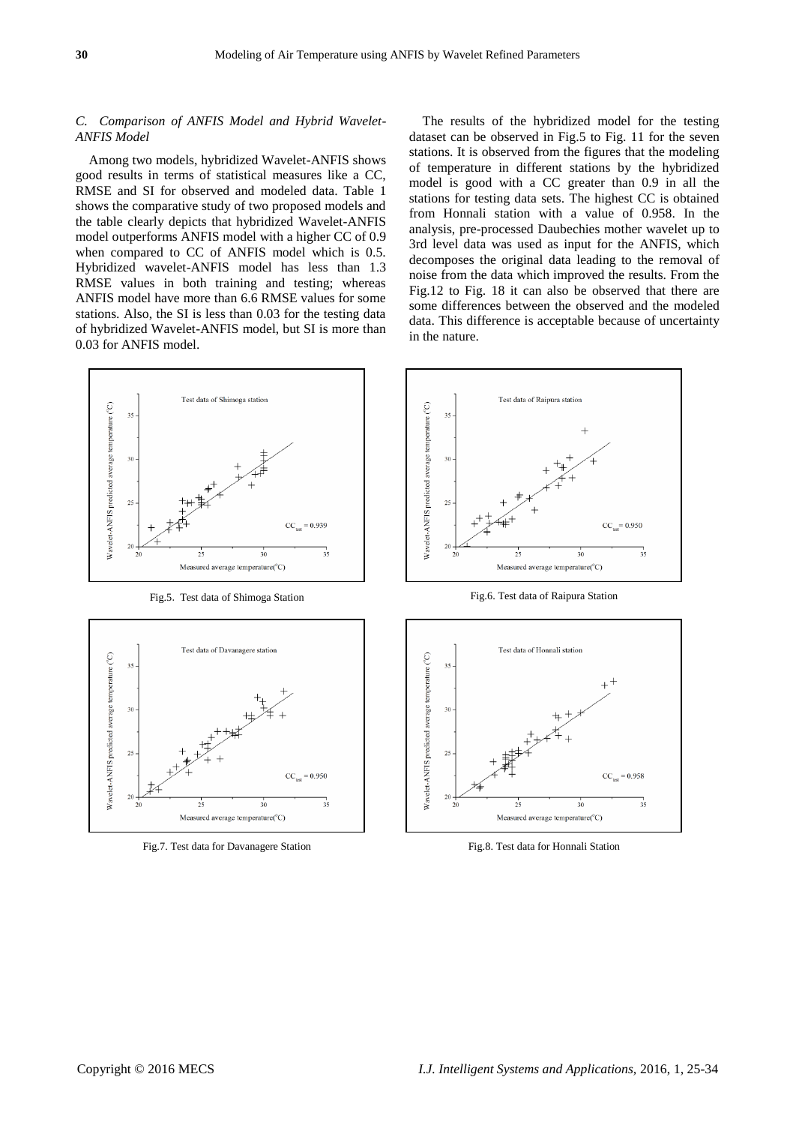## *C. Comparison of ANFIS Model and Hybrid Wavelet-ANFIS Model*

Among two models, hybridized Wavelet-ANFIS shows good results in terms of statistical measures like a CC, RMSE and SI for observed and modeled data. Table 1 shows the comparative study of two proposed models and the table clearly depicts that hybridized Wavelet-ANFIS model outperforms ANFIS model with a higher CC of 0.9 when compared to CC of ANFIS model which is 0.5. Hybridized wavelet-ANFIS model has less than 1.3 RMSE values in both training and testing; whereas ANFIS model have more than 6.6 RMSE values for some stations. Also, the SI is less than 0.03 for the testing data of hybridized Wavelet-ANFIS model, but SI is more than 0.03 for ANFIS model.



Fig.5. Test data of Shimoga Station Fig.6. Test data of Raipura Station



The results of the hybridized model for the testing dataset can be observed in Fig.5 to Fig. 11 for the seven stations. It is observed from the figures that the modeling of temperature in different stations by the hybridized model is good with a CC greater than 0.9 in all the stations for testing data sets. The highest CC is obtained from Honnali station with a value of 0.958. In the analysis, pre-processed Daubechies mother wavelet up to 3rd level data was used as input for the ANFIS, which decomposes the original data leading to the removal of noise from the data which improved the results. From the Fig.12 to Fig. 18 it can also be observed that there are some differences between the observed and the modeled data. This difference is acceptable because of uncertainty in the nature.





Fig.7. Test data for Davanagere Station Fig.8. Test data for Honnali Station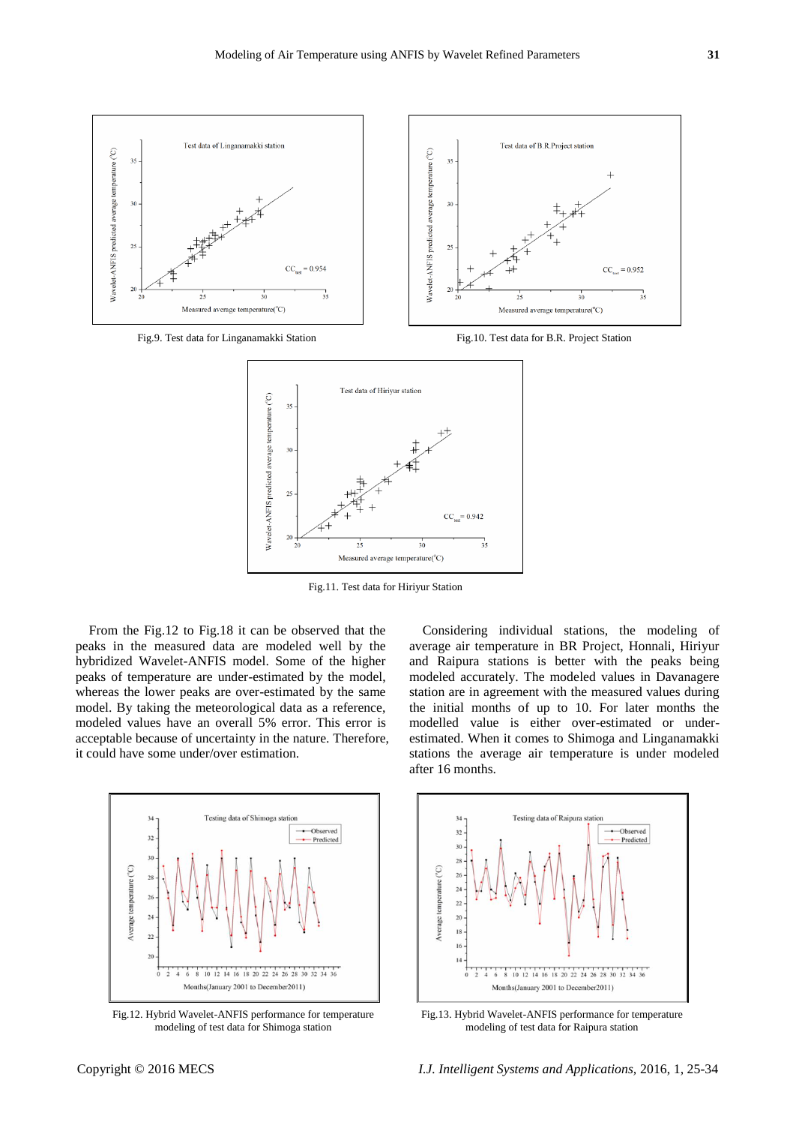





Fig.11. Test data for Hiriyur Station

From the Fig.12 to Fig.18 it can be observed that the peaks in the measured data are modeled well by the hybridized Wavelet-ANFIS model. Some of the higher peaks of temperature are under-estimated by the model, whereas the lower peaks are over-estimated by the same model. By taking the meteorological data as a reference, modeled values have an overall 5% error. This error is acceptable because of uncertainty in the nature. Therefore, it could have some under/over estimation.



Fig.12. Hybrid Wavelet-ANFIS performance for temperature modeling of test data for Shimoga station



Considering individual stations, the modeling of average air temperature in BR Project, Honnali, Hiriyur and Raipura stations is better with the peaks being modeled accurately. The modeled values in Davanagere station are in agreement with the measured values during



Fig.13. Hybrid Wavelet-ANFIS performance for temperature modeling of test data for Raipura station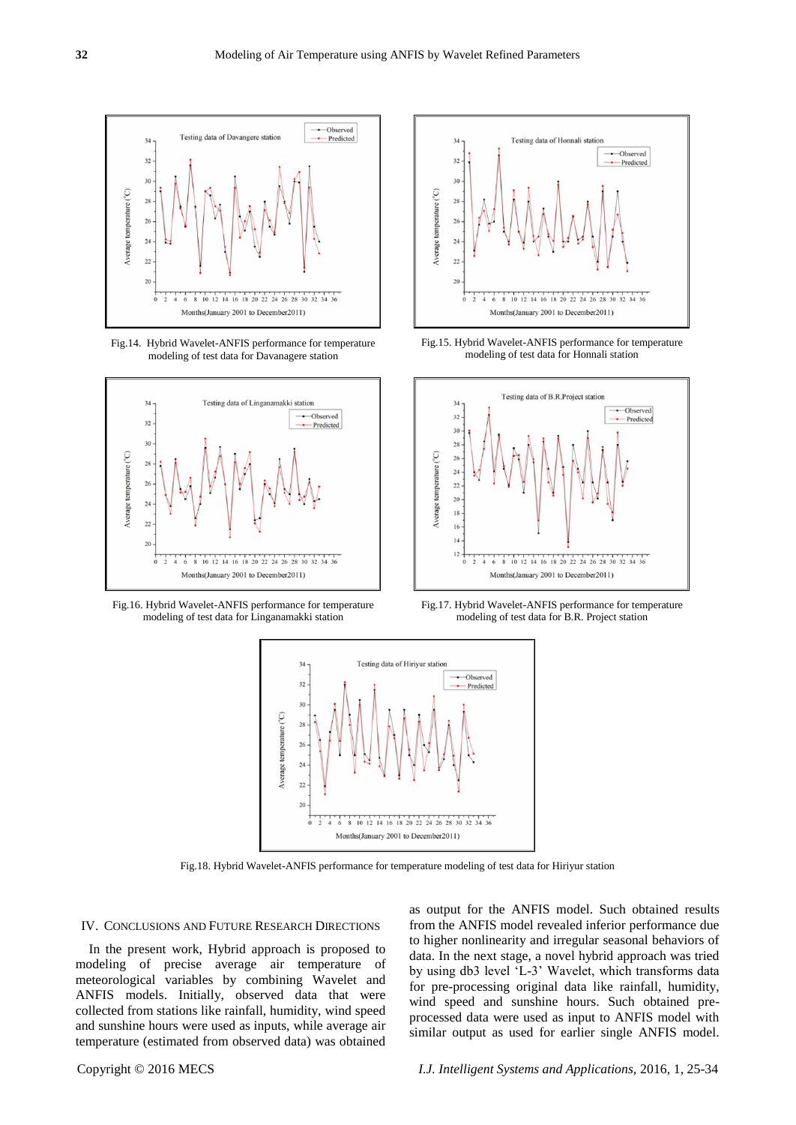

Fig.14. Hybrid Wavelet-ANFIS performance for temperature modeling of test data for Davanagere station



Fig.16. Hybrid Wavelet-ANFIS performance for temperature modeling of test data for Linganamakki station



Fig.15. Hybrid Wavelet-ANFIS performance for temperature modeling of test data for Honnali station



Fig.17. Hybrid Wavelet-ANFIS performance for temperature modeling of test data for B.R. Project station



Fig.18. Hybrid Wavelet-ANFIS performance for temperature modeling of test data for Hiriyur station

#### IV. CONCLUSIONS AND FUTURE RESEARCH DIRECTIONS

In the present work, Hybrid approach is proposed to modeling of precise average air temperature of meteorological variables by combining Wavelet and ANFIS models. Initially, observed data that were collected from stations like rainfall, humidity, wind speed and sunshine hours were used as inputs, while average air temperature (estimated from observed data) was obtained as output for the ANFIS model. Such obtained results from the ANFIS model revealed inferior performance due to higher nonlinearity and irregular seasonal behaviors of data. In the next stage, a novel hybrid approach was tried by using db3 level 'L-3' Wavelet, which transforms data for pre-processing original data like rainfall, humidity, wind speed and sunshine hours. Such obtained preprocessed data were used as input to ANFIS model with similar output as used for earlier single ANFIS model.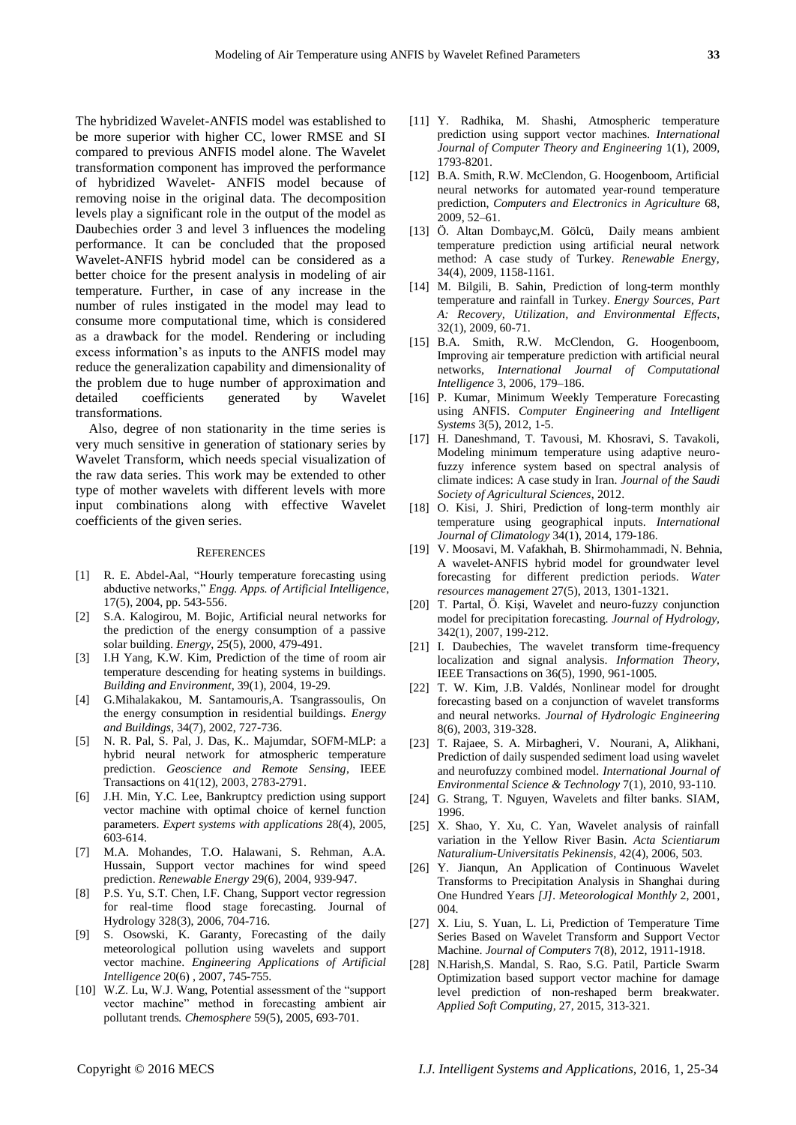The hybridized Wavelet-ANFIS model was established to be more superior with higher CC, lower RMSE and SI compared to previous ANFIS model alone. The Wavelet transformation component has improved the performance of hybridized Wavelet- ANFIS model because of removing noise in the original data. The decomposition levels play a significant role in the output of the model as Daubechies order 3 and level 3 influences the modeling performance. It can be concluded that the proposed Wavelet-ANFIS hybrid model can be considered as a better choice for the present analysis in modeling of air temperature. Further, in case of any increase in the number of rules instigated in the model may lead to consume more computational time, which is considered as a drawback for the model. Rendering or including excess information's as inputs to the ANFIS model may reduce the generalization capability and dimensionality of the problem due to huge number of approximation and detailed coefficients generated by Wavelet transformations.

Also, degree of non stationarity in the time series is very much sensitive in generation of stationary series by Wavelet Transform, which needs special visualization of the raw data series. This work may be extended to other type of mother wavelets with different levels with more input combinations along with effective Wavelet coefficients of the given series.

#### **REFERENCES**

- [1] R. E. Abdel-Aal, "Hourly temperature forecasting using abductive networks," *Engg. Apps. of Artificial Intelligence*, 17(5), 2004, pp. 543-556.
- [2] S.A. Kalogirou, M. Bojic, Artificial neural networks for the prediction of the energy consumption of a passive solar building. *Energy*, 25(5), 2000, 479-491.
- [3] I.H Yang, K.W. Kim, Prediction of the time of room air temperature descending for heating systems in buildings. *Building and Environment*, 39(1), 2004, 19-29.
- [4] G.Mihalakakou, M. Santamouris,A. Tsangrassoulis, On the energy consumption in residential buildings. *Energy and Buildings*, 34(7), 2002, 727-736.
- [5] N. R. Pal, S. Pal, J. Das, K.. Majumdar, SOFM-MLP: a hybrid neural network for atmospheric temperature prediction. *Geoscience and Remote Sensing*, IEEE Transactions on 41(12), 2003, 2783-2791.
- [6] J.H. Min, Y.C. Lee, Bankruptcy prediction using support vector machine with optimal choice of kernel function parameters. *Expert systems with applications* 28(4), 2005, 603-614.
- [7] M.A. Mohandes, T.O. Halawani, S. Rehman, A.A. Hussain, Support vector machines for wind speed prediction. *Renewable Energy* 29(6), 2004, 939-947.
- [8] P.S. Yu, S.T. Chen, I.F. Chang, Support vector regression for real-time flood stage forecasting. Journal of Hydrology 328(3), 2006, 704-716.
- [9] S. Osowski, K. Garanty, Forecasting of the daily meteorological pollution using wavelets and support vector machine. *Engineering Applications of Artificial Intelligence* 20(6) , 2007, 745-755.
- [10] W.Z. Lu, W.J. Wang, Potential assessment of the "support vector machine" method in forecasting ambient air pollutant trends*. Chemosphere* 59(5), 2005, 693-701.
- [11] Y. Radhika, M. Shashi, Atmospheric temperature prediction using support vector machines*. International Journal of Computer Theory and Engineering* 1(1), 2009, 1793-8201.
- [12] B.A. Smith, R.W. McClendon, G. Hoogenboom, Artificial neural networks for automated year-round temperature prediction, *Computers and Electronics in Agriculture* 68, 2009, 52–61.
- [13] Ö. Altan Dombayc,M. Gölcü, Daily means ambient temperature prediction using artificial neural network method: A case study of Turkey. *Renewable Ener*gy, 34(4), 2009, 1158-1161.
- [14] M. Bilgili, B. Sahin, Prediction of long-term monthly temperature and rainfall in Turkey. *Energy Sources, Part A: Recovery, Utilization, and Environmental Effects*, 32(1), 2009, 60-71.
- [15] B.A. Smith, R.W. McClendon, G. Hoogenboom, Improving air temperature prediction with artificial neural networks, *International Journal of Computational Intelligence* 3, 2006, 179–186.
- [16] P. Kumar, Minimum Weekly Temperature Forecasting using ANFIS. *Computer Engineering and Intelligent Systems* 3(5), 2012, 1-5.
- [17] H. Daneshmand, T. Tavousi, M. Khosravi, S. Tavakoli, Modeling minimum temperature using adaptive neurofuzzy inference system based on spectral analysis of climate indices: A case study in Iran. *Journal of the Saudi Society of Agricultural Sciences*, 2012.
- [18] O. Kisi, J. Shiri, Prediction of long-term monthly air temperature using geographical inputs. *International Journal of Climatology* 34(1), 2014, 179-186.
- [19] V. Moosavi, M. Vafakhah, B. Shirmohammadi, N. Behnia, A wavelet-ANFIS hybrid model for groundwater level forecasting for different prediction periods. *Water resources management* 27(5), 2013, 1301-1321.
- [20] T. Partal, Ö. Kişi, Wavelet and neuro-fuzzy conjunction model for precipitation forecasting. *Journal of Hydrology,*  342(1), 2007, 199-212.
- [21] I. Daubechies, The wavelet transform time-frequency localization and signal analysis. *Information Theory,* IEEE Transactions on 36(5), 1990, 961-1005.
- [22] T. W. Kim, J.B. Valdés, Nonlinear model for drought forecasting based on a conjunction of wavelet transforms and neural networks. *Journal of Hydrologic Engineering*  8(6), 2003, 319-328.
- [23] T. Rajaee, S. A. Mirbagheri, V. Nourani, A, Alikhani, Prediction of daily suspended sediment load using wavelet and neurofuzzy combined model. *International Journal of Environmental Science & Technology* 7(1), 2010, 93-110.
- [24] G. Strang, T. Nguyen, Wavelets and filter banks. SIAM, 1996.
- [25] X. Shao, Y. Xu, C. Yan, Wavelet analysis of rainfall variation in the Yellow River Basin. *Acta Scientiarum Naturalium-Universitatis Pekinensis,* 42(4), 2006, 503.
- [26] Y. Jianqun, An Application of Continuous Wavelet Transforms to Precipitation Analysis in Shanghai during One Hundred Years *[J]. Meteorological Monthly* 2, 2001, 004.
- [27] X. Liu, S. Yuan, L. Li, Prediction of Temperature Time Series Based on Wavelet Transform and Support Vector Machine. *Journal of Computers* 7(8), 2012, 1911-1918.
- [28] N.Harish,S. Mandal, S. Rao, S.G. Patil, Particle Swarm Optimization based support vector machine for damage level prediction of non-reshaped berm breakwater. *Applied Soft Computing*, 27, 2015, 313-321.